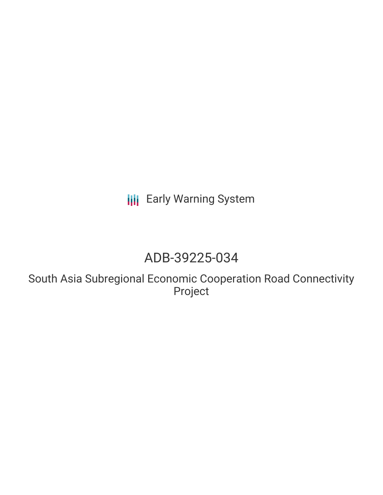# **III** Early Warning System

## ADB-39225-034

South Asia Subregional Economic Cooperation Road Connectivity Project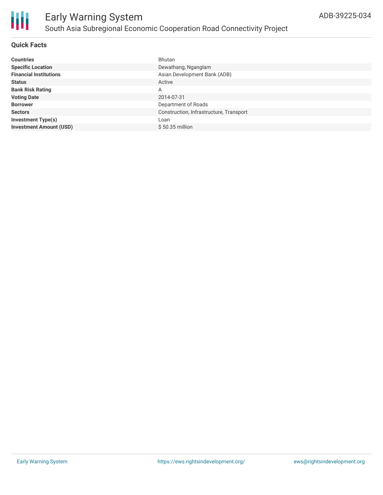

### Early Warning System South Asia Subregional Economic Cooperation Road Connectivity Project

#### **Quick Facts**

| <b>Countries</b>               | Bhutan                                  |
|--------------------------------|-----------------------------------------|
| <b>Specific Location</b>       | Dewathang, Nganglam                     |
| <b>Financial Institutions</b>  | Asian Development Bank (ADB)            |
| <b>Status</b>                  | Active                                  |
| <b>Bank Risk Rating</b>        | A                                       |
| <b>Voting Date</b>             | 2014-07-31                              |
| <b>Borrower</b>                | Department of Roads                     |
| <b>Sectors</b>                 | Construction, Infrastructure, Transport |
| <b>Investment Type(s)</b>      | Loan                                    |
| <b>Investment Amount (USD)</b> | $$50.35$ million                        |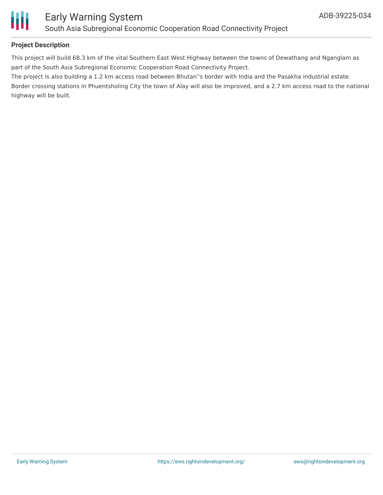

#### **Project Description**

This project will build 68.3 km of the vital Southern East West Highway between the towns of Dewathang and Nganglam as part of the South Asia Subregional Economic Cooperation Road Connectivity Project.

The project is also building a 1.2 km access road between Bhutan''s border with India and the Pasakha industrial estate.

Border crossing stations in Phuentsholing City the town of Alay will also be improved, and a 2.7 km access road to the national highway will be built.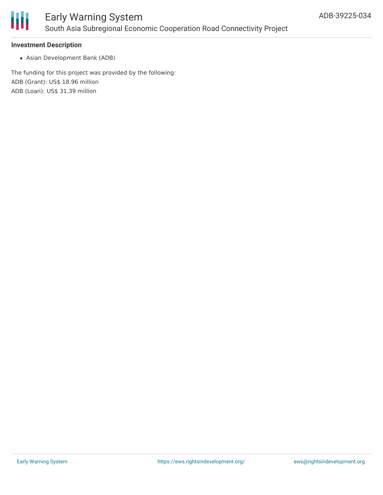

#### **Investment Description**

Asian Development Bank (ADB)

The funding for this project was provided by the following: ADB (Grant): US\$ 18.96 million ADB (Loan): US\$ 31.39 million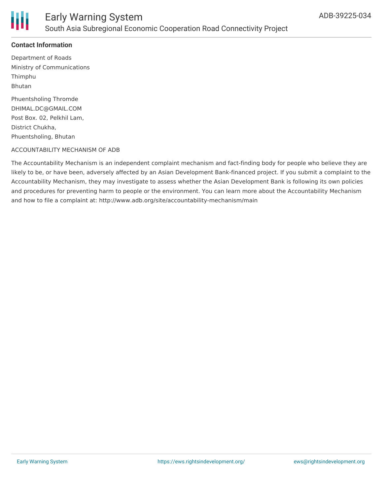

#### **Contact Information**

Department of Roads Ministry of Communications Thimphu Bhutan

Phuentsholing Thromde DHIMAL.DC@GMAIL.COM Post Box. 02, Pelkhil Lam, District Chukha, Phuentsholing, Bhutan

#### ACCOUNTABILITY MECHANISM OF ADB

The Accountability Mechanism is an independent complaint mechanism and fact-finding body for people who believe they are likely to be, or have been, adversely affected by an Asian Development Bank-financed project. If you submit a complaint to the Accountability Mechanism, they may investigate to assess whether the Asian Development Bank is following its own policies and procedures for preventing harm to people or the environment. You can learn more about the Accountability Mechanism and how to file a complaint at: http://www.adb.org/site/accountability-mechanism/main